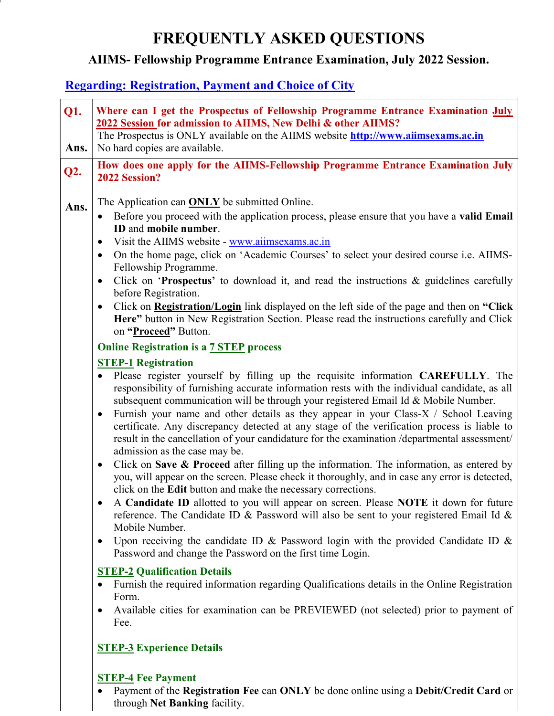# FREQUENTLY ASKED QUESTIONS

# AIIMS- Fellowship Programme Entrance Examination, July 2022 Session.

### Regarding: Registration, Payment and Choice of City

| <b>Q1.</b> | Where can I get the Prospectus of Fellowship Programme Entrance Examination July<br>2022 Session for admission to AIIMS, New Delhi & other AIIMS?                                                                                                                                                                                                                                                                                                                                                                                                                                                                       |
|------------|-------------------------------------------------------------------------------------------------------------------------------------------------------------------------------------------------------------------------------------------------------------------------------------------------------------------------------------------------------------------------------------------------------------------------------------------------------------------------------------------------------------------------------------------------------------------------------------------------------------------------|
| Ans.       | The Prospectus is ONLY available on the AIIMS website <b>http://www.aiimsexams.ac.in</b><br>No hard copies are available.                                                                                                                                                                                                                                                                                                                                                                                                                                                                                               |
| Q2.        | How does one apply for the AIIMS-Fellowship Programme Entrance Examination July<br>2022 Session?                                                                                                                                                                                                                                                                                                                                                                                                                                                                                                                        |
| Ans.       | The Application can <b>ONLY</b> be submitted Online.<br>Before you proceed with the application process, please ensure that you have a valid Email<br>ID and mobile number.<br>Visit the AIIMS website - www.aiimsexams.ac.in<br>$\bullet$<br>On the home page, click on 'Academic Courses' to select your desired course i.e. AIIMS-<br>$\bullet$<br>Fellowship Programme.                                                                                                                                                                                                                                             |
|            | Click on 'Prospectus' to download it, and read the instructions & guidelines carefully<br>$\bullet$                                                                                                                                                                                                                                                                                                                                                                                                                                                                                                                     |
|            | before Registration.<br>Click on <b>Registration/Login</b> link displayed on the left side of the page and then on "Click"<br>$\bullet$<br>Here" button in New Registration Section. Please read the instructions carefully and Click<br>on "Proceed" Button.                                                                                                                                                                                                                                                                                                                                                           |
|            | <b>Online Registration is a 7 STEP process</b>                                                                                                                                                                                                                                                                                                                                                                                                                                                                                                                                                                          |
|            | <b>STEP-1 Registration</b>                                                                                                                                                                                                                                                                                                                                                                                                                                                                                                                                                                                              |
|            | Please register yourself by filling up the requisite information CAREFULLY. The<br>$\bullet$<br>responsibility of furnishing accurate information rests with the individual candidate, as all<br>subsequent communication will be through your registered Email Id & Mobile Number.<br>Furnish your name and other details as they appear in your Class-X / School Leaving<br>$\bullet$<br>certificate. Any discrepancy detected at any stage of the verification process is liable to<br>result in the cancellation of your candidature for the examination /departmental assessment/<br>admission as the case may be. |
|            | Click on Save $\&$ Proceed after filling up the information. The information, as entered by<br>$\bullet$<br>you, will appear on the screen. Please check it thoroughly, and in case any error is detected,<br>click on the Edit button and make the necessary corrections.                                                                                                                                                                                                                                                                                                                                              |
|            | A Candidate ID allotted to you will appear on screen. Please NOTE it down for future<br>reference. The Candidate ID & Password will also be sent to your registered Email Id &<br>Mobile Number.                                                                                                                                                                                                                                                                                                                                                                                                                        |
|            | Upon receiving the candidate ID & Password login with the provided Candidate ID &<br>$\bullet$<br>Password and change the Password on the first time Login.                                                                                                                                                                                                                                                                                                                                                                                                                                                             |
|            | <b>STEP-2 Qualification Details</b>                                                                                                                                                                                                                                                                                                                                                                                                                                                                                                                                                                                     |
|            | Furnish the required information regarding Qualifications details in the Online Registration<br>Form.                                                                                                                                                                                                                                                                                                                                                                                                                                                                                                                   |
|            | Available cities for examination can be PREVIEWED (not selected) prior to payment of<br>$\bullet$<br>Fee.                                                                                                                                                                                                                                                                                                                                                                                                                                                                                                               |
|            | <b>STEP-3 Experience Details</b>                                                                                                                                                                                                                                                                                                                                                                                                                                                                                                                                                                                        |
|            | <b>STEP-4 Fee Payment</b>                                                                                                                                                                                                                                                                                                                                                                                                                                                                                                                                                                                               |

• Payment of the Registration Fee can ONLY be done online using a Debit/Credit Card or through Net Banking facility.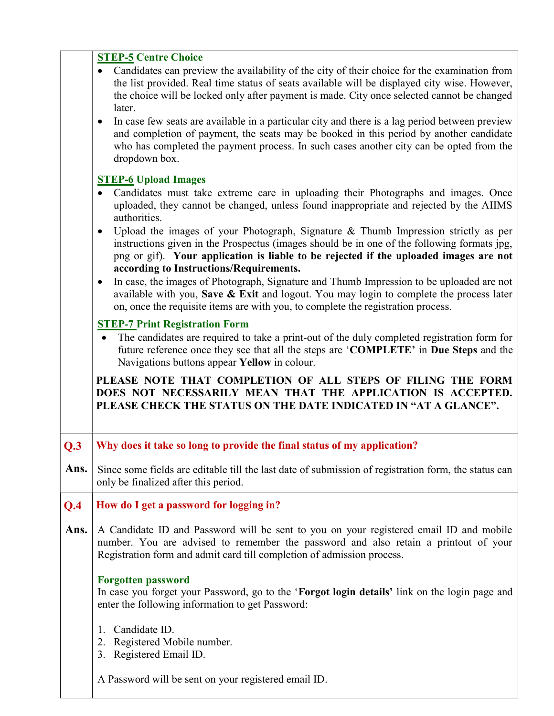|      | <b>STEP-5 Centre Choice</b>                                                                                                                                                                                                                                                                                           |
|------|-----------------------------------------------------------------------------------------------------------------------------------------------------------------------------------------------------------------------------------------------------------------------------------------------------------------------|
|      | Candidates can preview the availability of the city of their choice for the examination from<br>$\bullet$<br>the list provided. Real time status of seats available will be displayed city wise. However,<br>the choice will be locked only after payment is made. City once selected cannot be changed<br>later.     |
|      | In case few seats are available in a particular city and there is a lag period between preview<br>٠<br>and completion of payment, the seats may be booked in this period by another candidate<br>who has completed the payment process. In such cases another city can be opted from the<br>dropdown box.             |
|      | <b>STEP-6 Upload Images</b>                                                                                                                                                                                                                                                                                           |
|      | Candidates must take extreme care in uploading their Photographs and images. Once<br>uploaded, they cannot be changed, unless found inappropriate and rejected by the AIIMS<br>authorities.                                                                                                                           |
|      | Upload the images of your Photograph, Signature & Thumb Impression strictly as per<br>instructions given in the Prospectus (images should be in one of the following formats jpg,<br>png or gif). Your application is liable to be rejected if the uploaded images are not<br>according to Instructions/Requirements. |
|      | In case, the images of Photograph, Signature and Thumb Impression to be uploaded are not<br>$\bullet$<br>available with you, Save & Exit and logout. You may login to complete the process later<br>on, once the requisite items are with you, to complete the registration process.                                  |
|      | <b>STEP-7 Print Registration Form</b>                                                                                                                                                                                                                                                                                 |
|      | The candidates are required to take a print-out of the duly completed registration form for<br>future reference once they see that all the steps are 'COMPLETE' in Due Steps and the                                                                                                                                  |
|      | Navigations buttons appear Yellow in colour.                                                                                                                                                                                                                                                                          |
|      | PLEASE NOTE THAT COMPLETION OF ALL STEPS OF FILING THE FORM<br>DOES NOT NECESSARILY MEAN THAT THE APPLICATION IS ACCEPTED.<br>PLEASE CHECK THE STATUS ON THE DATE INDICATED IN "AT A GLANCE".                                                                                                                         |
| Q.3  | Why does it take so long to provide the final status of my application?                                                                                                                                                                                                                                               |
| Ans. | Since some fields are editable till the last date of submission of registration form, the status can<br>only be finalized after this period.                                                                                                                                                                          |
| Q.4  | How do I get a password for logging in?                                                                                                                                                                                                                                                                               |
|      | A Candidate ID and Password will be sent to you on your registered email ID and mobile<br>number. You are advised to remember the password and also retain a printout of your<br>Registration form and admit card till completion of admission process.                                                               |
| Ans. | <b>Forgotten password</b><br>In case you forget your Password, go to the 'Forgot login details' link on the login page and<br>enter the following information to get Password:                                                                                                                                        |
|      | Candidate ID.<br>1.<br>Registered Mobile number.<br>2.<br>Registered Email ID.<br>3.                                                                                                                                                                                                                                  |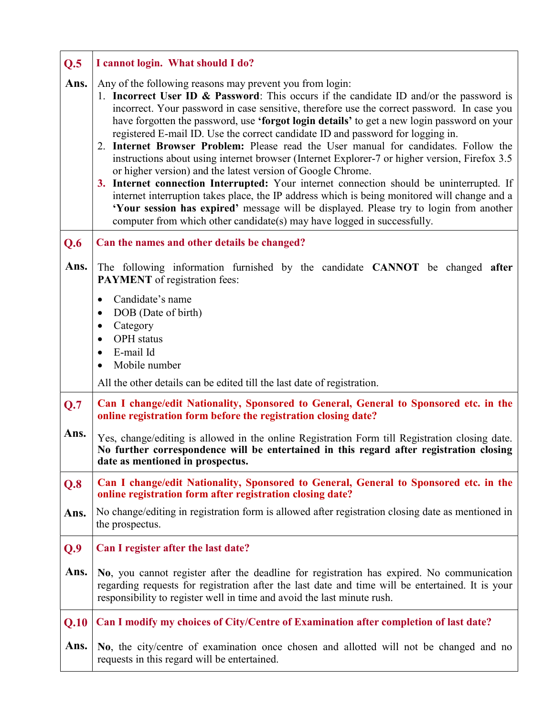| Q.5  | I cannot login. What should I do?                                                                                                                                                                                                                                                                                                                                                                                                                                                                                                                                                                                                                                                                                                                                                                                                                                                                                                                                                                                                                             |
|------|---------------------------------------------------------------------------------------------------------------------------------------------------------------------------------------------------------------------------------------------------------------------------------------------------------------------------------------------------------------------------------------------------------------------------------------------------------------------------------------------------------------------------------------------------------------------------------------------------------------------------------------------------------------------------------------------------------------------------------------------------------------------------------------------------------------------------------------------------------------------------------------------------------------------------------------------------------------------------------------------------------------------------------------------------------------|
| Ans. | Any of the following reasons may prevent you from login:<br>1. Incorrect User ID & Password: This occurs if the candidate ID and/or the password is<br>incorrect. Your password in case sensitive, therefore use the correct password. In case you<br>have forgotten the password, use 'forgot login details' to get a new login password on your<br>registered E-mail ID. Use the correct candidate ID and password for logging in.<br>2. Internet Browser Problem: Please read the User manual for candidates. Follow the<br>instructions about using internet browser (Internet Explorer-7 or higher version, Firefox 3.5)<br>or higher version) and the latest version of Google Chrome.<br>3. Internet connection Interrupted: Your internet connection should be uninterrupted. If<br>internet interruption takes place, the IP address which is being monitored will change and a<br>'Your session has expired' message will be displayed. Please try to login from another<br>computer from which other candidate(s) may have logged in successfully. |
| Q.6  | Can the names and other details be changed?                                                                                                                                                                                                                                                                                                                                                                                                                                                                                                                                                                                                                                                                                                                                                                                                                                                                                                                                                                                                                   |
| Ans. | The following information furnished by the candidate CANNOT be changed after<br><b>PAYMENT</b> of registration fees:                                                                                                                                                                                                                                                                                                                                                                                                                                                                                                                                                                                                                                                                                                                                                                                                                                                                                                                                          |
|      | Candidate's name<br>$\bullet$<br>DOB (Date of birth)<br>$\bullet$                                                                                                                                                                                                                                                                                                                                                                                                                                                                                                                                                                                                                                                                                                                                                                                                                                                                                                                                                                                             |
|      | Category<br>٠<br><b>OPH</b> status<br>$\bullet$                                                                                                                                                                                                                                                                                                                                                                                                                                                                                                                                                                                                                                                                                                                                                                                                                                                                                                                                                                                                               |
|      | E-mail Id<br>$\bullet$                                                                                                                                                                                                                                                                                                                                                                                                                                                                                                                                                                                                                                                                                                                                                                                                                                                                                                                                                                                                                                        |
|      | Mobile number<br>All the other details can be edited till the last date of registration.                                                                                                                                                                                                                                                                                                                                                                                                                                                                                                                                                                                                                                                                                                                                                                                                                                                                                                                                                                      |
| Q.7  | Can I change/edit Nationality, Sponsored to General, General to Sponsored etc. in the                                                                                                                                                                                                                                                                                                                                                                                                                                                                                                                                                                                                                                                                                                                                                                                                                                                                                                                                                                         |
| Ans. | online registration form before the registration closing date?                                                                                                                                                                                                                                                                                                                                                                                                                                                                                                                                                                                                                                                                                                                                                                                                                                                                                                                                                                                                |
|      | Yes, change/editing is allowed in the online Registration Form till Registration closing date.<br>No further correspondence will be entertained in this regard after registration closing<br>date as mentioned in prospectus.                                                                                                                                                                                                                                                                                                                                                                                                                                                                                                                                                                                                                                                                                                                                                                                                                                 |
| Q.8  | Can I change/edit Nationality, Sponsored to General, General to Sponsored etc. in the<br>online registration form after registration closing date?                                                                                                                                                                                                                                                                                                                                                                                                                                                                                                                                                                                                                                                                                                                                                                                                                                                                                                            |
| Ans. | No change/editing in registration form is allowed after registration closing date as mentioned in<br>the prospectus.                                                                                                                                                                                                                                                                                                                                                                                                                                                                                                                                                                                                                                                                                                                                                                                                                                                                                                                                          |
| Q.9  | Can I register after the last date?                                                                                                                                                                                                                                                                                                                                                                                                                                                                                                                                                                                                                                                                                                                                                                                                                                                                                                                                                                                                                           |
| Ans. | No, you cannot register after the deadline for registration has expired. No communication<br>regarding requests for registration after the last date and time will be entertained. It is your<br>responsibility to register well in time and avoid the last minute rush.                                                                                                                                                                                                                                                                                                                                                                                                                                                                                                                                                                                                                                                                                                                                                                                      |
| Q.10 | Can I modify my choices of City/Centre of Examination after completion of last date?                                                                                                                                                                                                                                                                                                                                                                                                                                                                                                                                                                                                                                                                                                                                                                                                                                                                                                                                                                          |
| Ans. | No, the city/centre of examination once chosen and allotted will not be changed and no<br>requests in this regard will be entertained.                                                                                                                                                                                                                                                                                                                                                                                                                                                                                                                                                                                                                                                                                                                                                                                                                                                                                                                        |

Г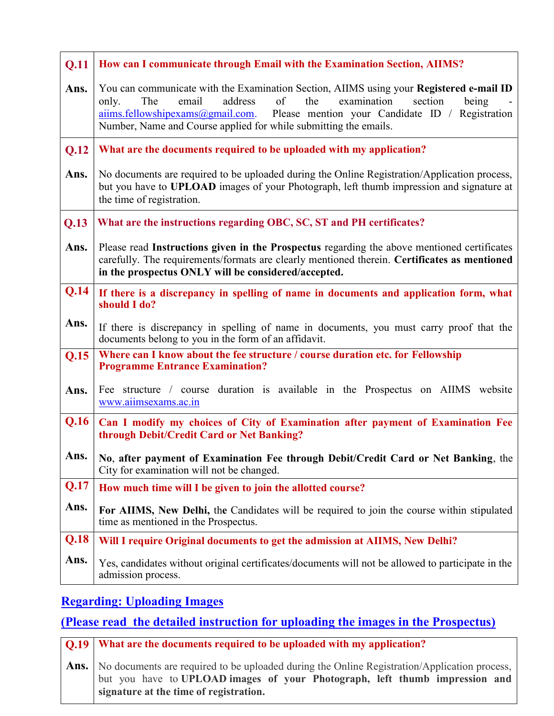| Q.11 | How can I communicate through Email with the Examination Section, AIIMS?                                                                                                                                                                                                                                                            |
|------|-------------------------------------------------------------------------------------------------------------------------------------------------------------------------------------------------------------------------------------------------------------------------------------------------------------------------------------|
| Ans. | You can communicate with the Examination Section, AIIMS using your Registered e-mail ID<br>The<br>address<br>of<br>the<br>examination<br>section<br>email<br>being<br>only.<br>aiims.fellowshipexams@gmail.com. Please mention your Candidate ID / Registration<br>Number, Name and Course applied for while submitting the emails. |
| Q.12 | What are the documents required to be uploaded with my application?                                                                                                                                                                                                                                                                 |
| Ans. | No documents are required to be uploaded during the Online Registration/Application process,<br>but you have to UPLOAD images of your Photograph, left thumb impression and signature at<br>the time of registration.                                                                                                               |
| Q.13 | What are the instructions regarding OBC, SC, ST and PH certificates?                                                                                                                                                                                                                                                                |
| Ans. | Please read Instructions given in the Prospectus regarding the above mentioned certificates<br>carefully. The requirements/formats are clearly mentioned therein. Certificates as mentioned<br>in the prospectus ONLY will be considered/accepted.                                                                                  |
| Q.14 | If there is a discrepancy in spelling of name in documents and application form, what<br>should I do?                                                                                                                                                                                                                               |
| Ans. | If there is discrepancy in spelling of name in documents, you must carry proof that the<br>documents belong to you in the form of an affidavit.                                                                                                                                                                                     |
| Q.15 | Where can I know about the fee structure / course duration etc. for Fellowship<br><b>Programme Entrance Examination?</b>                                                                                                                                                                                                            |
| Ans. | Fee structure / course duration is available in the Prospectus on AIIMS website<br>www.aiimsexams.ac.in                                                                                                                                                                                                                             |
| Q.16 | Can I modify my choices of City of Examination after payment of Examination Fee<br>through Debit/Credit Card or Net Banking?                                                                                                                                                                                                        |
| Ans. | No, after payment of Examination Fee through Debit/Credit Card or Net Banking, the<br>City for examination will not be changed.                                                                                                                                                                                                     |
| Q.17 | How much time will I be given to join the allotted course?                                                                                                                                                                                                                                                                          |
| Ans. | For AIIMS, New Delhi, the Candidates will be required to join the course within stipulated<br>time as mentioned in the Prospectus.                                                                                                                                                                                                  |
| Q.18 | Will I require Original documents to get the admission at AIIMS, New Delhi?                                                                                                                                                                                                                                                         |
| Ans. | Yes, candidates without original certificates/documents will not be allowed to participate in the<br>admission process.                                                                                                                                                                                                             |

# Regarding: Uploading Images

#### (Please read the detailed instruction for uploading the images in the Prospectus)

Q.19 Ans. What are the documents required to be uploaded with my application? No documents are required to be uploaded during the Online Registration/Application process, but you have to UPLOAD images of your Photograph, left thumb impression and signature at the time of registration.